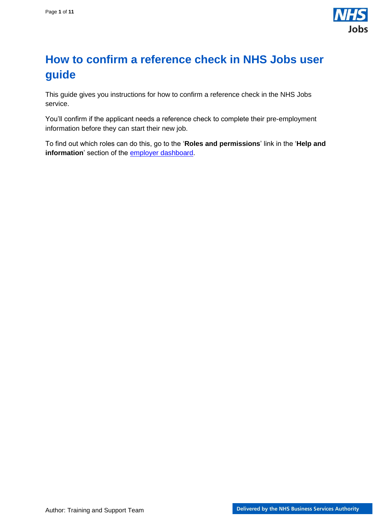

## <span id="page-0-0"></span>**How to confirm a reference check in NHS Jobs user guide**

This guide gives you instructions for how to confirm a reference check in the NHS Jobs service.

You'll confirm if the applicant needs a reference check to complete their pre-employment information before they can start their new job.

To find out which roles can do this, go to the '**Roles and permissions**' link in the '**Help and information**' section of the [employer dashboard.](https://beta.jobs.nhs.uk/home)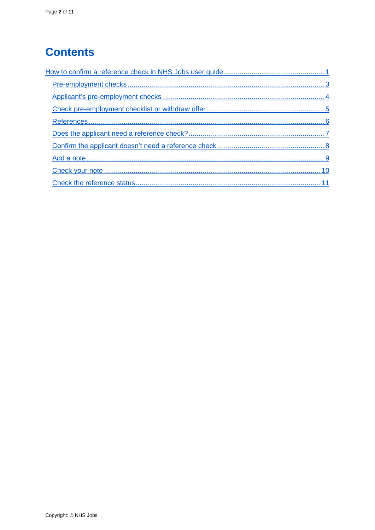# **Contents**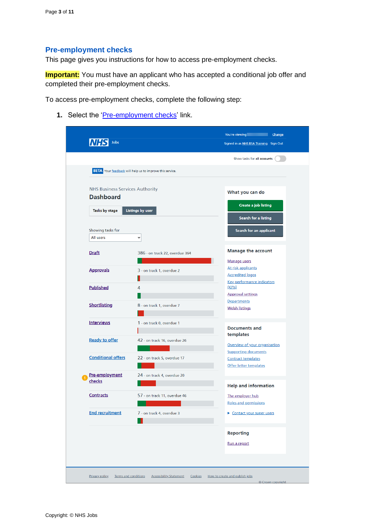## <span id="page-2-0"></span>**Pre-employment checks**

This page gives you instructions for how to access pre-employment checks.

**Important:** You must have an applicant who has accepted a conditional job offer and completed their pre-employment checks.

To access pre-employment checks, complete the following step:

1. Select the ['Pre-employment checks'](#page-3-0) link.

|                                        |                                                                 | Show tasks for all accounts                                  |
|----------------------------------------|-----------------------------------------------------------------|--------------------------------------------------------------|
|                                        | <b>BETA</b> Your feedback will help us to improve this service. |                                                              |
| <b>NHS Business Services Authority</b> |                                                                 | What you can do                                              |
| <b>Dashboard</b>                       |                                                                 | Create a job listing                                         |
| Tasks by stage                         | <b>Listings by user</b>                                         | Search for a listing                                         |
| Showing tasks for                      |                                                                 | Search for an applicant                                      |
| All users                              | $\check{~}$                                                     |                                                              |
| <b>Draft</b>                           | 386 - on track 22, overdue 364                                  | <b>Manage the account</b>                                    |
|                                        |                                                                 | Manage users                                                 |
| <b>Approvals</b>                       | 3 - on track 1, overdue 2                                       | At risk applicants<br><b>Accredited logos</b>                |
| <b>Published</b>                       | 4                                                               | <b>Key performance indicators</b><br>(KPIs)                  |
|                                        |                                                                 | <b>Approval settings</b>                                     |
| <b>Shortlisting</b>                    | 8 - on track 1, overdue 7                                       | <b>Departments</b><br><b>Welsh listings</b>                  |
| <b>Interviews</b>                      | 1 - on track 0, overdue 1                                       | <b>Documents and</b>                                         |
| <b>Ready to offer</b>                  | 42 - on track 16, overdue 26                                    | templates                                                    |
|                                        |                                                                 | Overview of your organisation<br><b>Supporting documents</b> |
| <b>Conditional offers</b>              | 22 - on track 5, overdue 17                                     | <b>Contract templates</b><br>Offer letter templates          |
| Pre-employment                         | 24 - on track 4, overdue 20                                     |                                                              |
| checks                                 |                                                                 | <b>Help and information</b>                                  |
| <b>Contracts</b>                       | 57 - on track 11, overdue 46                                    | The employer hub<br>Roles and permissions                    |
| <b>End recruitment</b>                 | 7 - on track 4, overdue 3                                       | ▶ Contact your super users                                   |
|                                        |                                                                 | <b>Reporting</b>                                             |
|                                        |                                                                 | Run a report                                                 |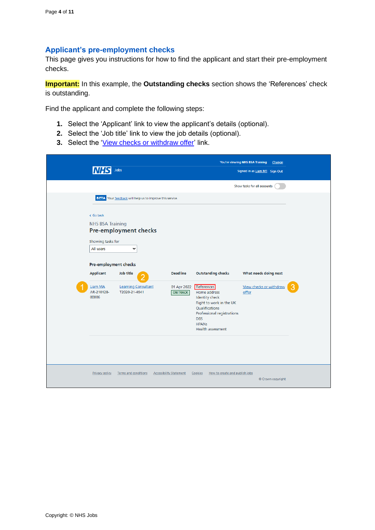#### <span id="page-3-0"></span>**Applicant's pre-employment checks**

This page gives you instructions for how to find the applicant and start their pre-employment checks.

**Important:** In this example, the **Outstanding checks** section shows the 'References' check is outstanding.

Find the applicant and complete the following steps:

- **1.** Select the 'Applicant' link to view the applicant's details (optional).
- **2.** Select the 'Job title' link to view the job details (optional).
- **3.** Select the ['View checks or withdraw offer'](#page-4-0) link.

|                                                                                                                                                       | Jobs                                                                                                                                               |                                                   |                                                                                                                                                                                                                       | You're viewing NHS BSA Training<br>Change<br>Signed in as Liam M1 Sign Out |  |
|-------------------------------------------------------------------------------------------------------------------------------------------------------|----------------------------------------------------------------------------------------------------------------------------------------------------|---------------------------------------------------|-----------------------------------------------------------------------------------------------------------------------------------------------------------------------------------------------------------------------|----------------------------------------------------------------------------|--|
|                                                                                                                                                       |                                                                                                                                                    |                                                   |                                                                                                                                                                                                                       | Show tasks for all accounts                                                |  |
| < Go back<br><b>NHS BSA Training</b><br>Showing tasks for<br>All users<br>Pre-employment checks<br><b>Applicant</b><br>Liam MA<br>AR-210128-<br>00006 | BETA Your feedback will help us to improve this service.<br>Pre-employment checks<br>v<br>Job title<br><b>Learning Consultant</b><br>T2020-21-4641 | <b>Deadline</b><br>01 Apr 2022<br><b>ON TRACK</b> | <b>Outstanding checks</b><br>References<br>Home address<br><b>Identity check</b><br>Right to work in the UK<br>Qualifications<br>Professional registrations<br><b>DBS</b><br><b>HPANs</b><br><b>Health assessment</b> | What needs doing next<br>View checks or withdraw<br>offer                  |  |
| Privacy policy                                                                                                                                        | Terms and conditions                                                                                                                               | <b>Accessibility Statement</b>                    | Cookies<br>How to create and publish jobs                                                                                                                                                                             | © Crown copyright                                                          |  |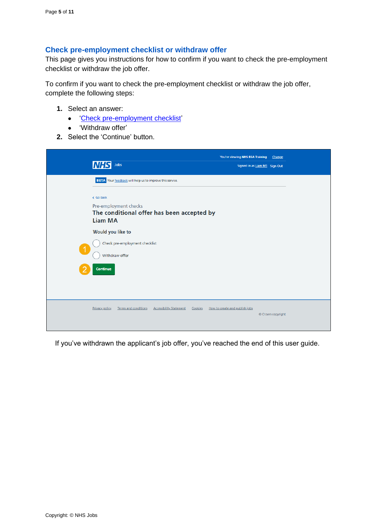#### <span id="page-4-0"></span>**Check pre-employment checklist or withdraw offer**

This page gives you instructions for how to confirm if you want to check the pre-employment checklist or withdraw the job offer.

To confirm if you want to check the pre-employment checklist or withdraw the job offer, complete the following steps:

- **1.** Select an answer:
	- ['Check pre-employment checklist'](#page-5-0)
	- 'Withdraw offer'
- **2.** Select the 'Continue' button.

| Jobs<br><b>INHS</b>                                                                                                                                            | You're viewing NHS BSA Training<br>Change<br>Signed in as Liam M1 Sign Out |
|----------------------------------------------------------------------------------------------------------------------------------------------------------------|----------------------------------------------------------------------------|
| BETA Your feedback will help us to improve this service.<br>< Go back<br>Pre-employment checks<br>The conditional offer has been accepted by<br><b>Liam MA</b> |                                                                            |
| Would you like to<br>Check pre-employment checklist<br>$\blacktriangleleft$<br>Withdraw offer                                                                  |                                                                            |
| Continue                                                                                                                                                       |                                                                            |
| <b>Terms and conditions</b><br><b>Accessibility Statement</b><br>Privacy policy<br>Cookies                                                                     | How to create and publish jobs<br>© Crown copyright                        |

If you've withdrawn the applicant's job offer, you've reached the end of this user guide.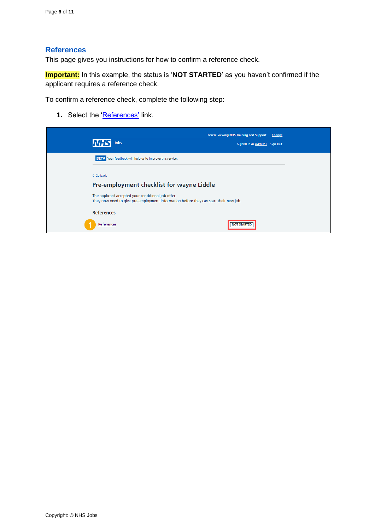#### <span id="page-5-0"></span>**References**

This page gives you instructions for how to confirm a reference check.

**Important:** In this example, the status is '**NOT STARTED**' as you haven't confirmed if the applicant requires a reference check.

To confirm a reference check, complete the following step:

**1.** Select the '**References'** link.

| You're viewing NHS Training and Support<br>Change<br><b>Jobs</b><br>Signed in as Liam M1 Sign Out                                           |  |
|---------------------------------------------------------------------------------------------------------------------------------------------|--|
| <b>BETA</b> Your feedback will help us to improve this service.                                                                             |  |
| < Go back                                                                                                                                   |  |
| Pre-employment checklist for wayne Liddle                                                                                                   |  |
| The applicant accepted your conditional job offer.<br>They now need to give pre-employment information before they can start their new job. |  |
| <b>References</b>                                                                                                                           |  |
| References<br><b>NOT STARTED</b>                                                                                                            |  |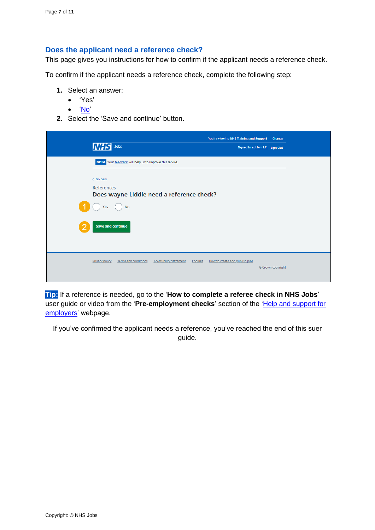### <span id="page-6-0"></span>**Does the applicant need a reference check?**

This page gives you instructions for how to confirm if the applicant needs a reference check.

To confirm if the applicant needs a reference check, complete the following step:

- **1.** Select an answer:
	- 'Yes'
	- ['No'](#page-7-0)
- **2.** Select the 'Save and continue' button.

| INH            | Jobs                                                            | You're viewing NHS Training and Support   | Change<br>Signed in as Liam M1 Sign Out |
|----------------|-----------------------------------------------------------------|-------------------------------------------|-----------------------------------------|
|                | <b>BETA</b> Your feedback will help us to improve this service. |                                           |                                         |
| < Go back      |                                                                 |                                           |                                         |
| References     | Does wayne Liddle need a reference check?                       |                                           |                                         |
| Yes            | <b>No</b>                                                       |                                           |                                         |
|                | <b>Save and continue</b>                                        |                                           |                                         |
| Privacy policy | <b>Accessibility Statement</b><br>Terms and conditions          | How to create and publish jobs<br>Cookies | © Crown copyright                       |

**Tip:** If a reference is needed, go to the '**How to complete a referee check in NHS Jobs**' user guide or video from the 'Pre-employment checks' section of the 'Help and support for [employers'](https://www.nhsbsa.nhs.uk/new-nhs-jobs-service/help-and-support-employers) webpage.

If you've confirmed the applicant needs a reference, you've reached the end of this suer guide.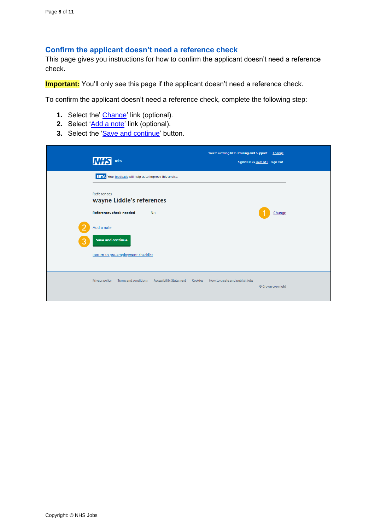#### <span id="page-7-0"></span>**Confirm the applicant doesn't need a reference check**

This page gives you instructions for how to confirm the applicant doesn't need a reference check.

**Important:** You'll only see this page if the applicant doesn't need a reference check.

To confirm the applicant doesn't need a reference check, complete the following step:

- **1.** Select the' [Change'](#page-6-0) link (optional).
- **2.** Select ['Add a note'](#page-8-0) link (optional).
- **3.** Select the ['Save and continue'](#page-10-0) button.

|   | <b>INHS</b><br>Jobs                                      |                                |         | You're viewing NHS Training and Support<br>Signed in as Liam M1 Sign Out | Change            |  |
|---|----------------------------------------------------------|--------------------------------|---------|--------------------------------------------------------------------------|-------------------|--|
|   | BETA Your feedback will help us to improve this service. |                                |         |                                                                          |                   |  |
|   | <b>References</b><br>wayne Liddle's references           |                                |         |                                                                          |                   |  |
|   | <b>References check needed</b><br><b>No</b>              |                                |         |                                                                          | Change            |  |
|   | Add a note                                               |                                |         |                                                                          |                   |  |
| 3 | <b>Save and continue</b>                                 |                                |         |                                                                          |                   |  |
|   | Return to pre-employment checklist                       |                                |         |                                                                          |                   |  |
|   | Terms and conditions<br>Privacy policy                   | <b>Accessibility Statement</b> | Cookies | How to create and publish jobs                                           |                   |  |
|   |                                                          |                                |         |                                                                          | © Crown copyright |  |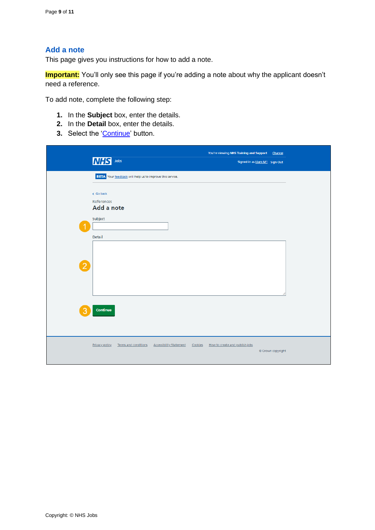### <span id="page-8-0"></span>**Add a note**

This page gives you instructions for how to add a note.

**Important:** You'll only see this page if you're adding a note about why the applicant doesn't need a reference.

To add note, complete the following step:

- **1.** In the **Subject** box, enter the details.
- **2.** In the **Detail** box, enter the details.
- **3.** Select the ['Continue'](#page-9-0) button.

|                | Jobs<br><b>NHS</b>                                              |                                           | You're viewing NHS Training and Support<br>Change<br>Signed in as Liam M1 Sign Out |  |
|----------------|-----------------------------------------------------------------|-------------------------------------------|------------------------------------------------------------------------------------|--|
|                | <b>BETA</b> Your feedback will help us to improve this service. |                                           |                                                                                    |  |
|                | < Go back<br>References<br>Add a note<br>Subject                |                                           |                                                                                    |  |
| Detail         |                                                                 |                                           |                                                                                    |  |
| $\overline{2}$ |                                                                 |                                           |                                                                                    |  |
| 3              | Continue                                                        |                                           |                                                                                    |  |
|                | <b>Privacy policy</b><br>Terms and conditions                   | <b>Accessibility Statement</b><br>Cookies | How to create and publish jobs<br>© Crown copyright                                |  |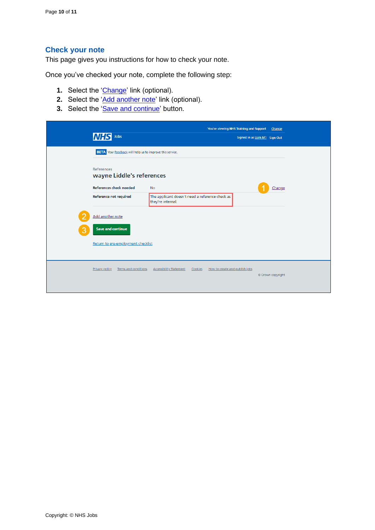## <span id="page-9-0"></span>**Check your note**

This page gives you instructions for how to check your note.

Once you've checked your note, complete the following step:

- **1.** Select the ['Change'](#page-6-0) link (optional).
- **2.** Select the ['Add another note'](#page-8-0) link (optional).
- **3.** Select the ['Save and continue'](#page-10-0) button.

| Jobs<br>INH                                                     |                                                                      |         | You're viewing NHS Training and Support | Signed in as Liam M1 Sign Out | Change            |  |
|-----------------------------------------------------------------|----------------------------------------------------------------------|---------|-----------------------------------------|-------------------------------|-------------------|--|
| <b>BETA</b> Your feedback will help us to improve this service. |                                                                      |         |                                         |                               |                   |  |
| <b>References</b><br>wayne Liddle's references                  |                                                                      |         |                                         |                               |                   |  |
| <b>References check needed</b>                                  | <b>No</b>                                                            |         |                                         |                               | Change            |  |
| Reference not required                                          | The applicant doesn't need a reference check as<br>they're internal. |         |                                         |                               |                   |  |
| Add another note                                                |                                                                      |         |                                         |                               |                   |  |
| <b>Save and continue</b>                                        |                                                                      |         |                                         |                               |                   |  |
| Return to pre-employment checklist                              |                                                                      |         |                                         |                               |                   |  |
|                                                                 |                                                                      |         |                                         |                               |                   |  |
| Privacy policy<br>Terms and conditions                          | <b>Accessibility Statement</b>                                       | Cookies | How to create and publish jobs          |                               | © Crown copyright |  |
|                                                                 |                                                                      |         |                                         |                               |                   |  |